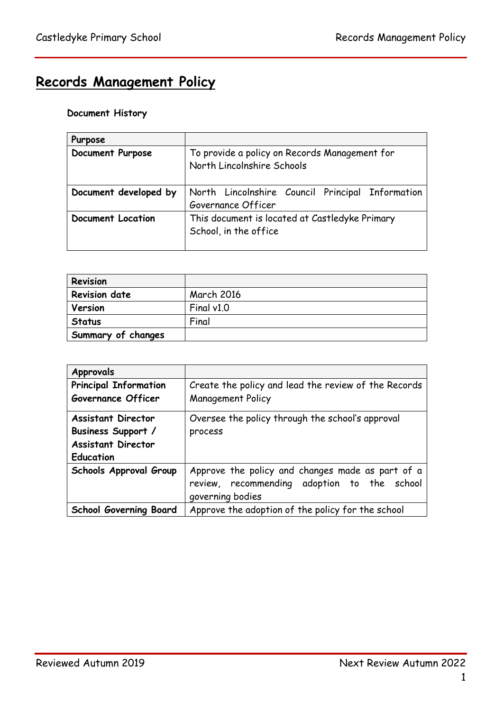# **Records Management Policy**

# **Document History**

| Purpose               |                                                                             |  |  |
|-----------------------|-----------------------------------------------------------------------------|--|--|
| Document Purpose      | To provide a policy on Records Management for<br>North Lincolnshire Schools |  |  |
| Document developed by | North Lincolnshire Council Principal Information<br>Governance Officer      |  |  |
| Document Location     | This document is located at Castledyke Primary<br>School, in the office     |  |  |

| Revision             |                   |
|----------------------|-------------------|
| <b>Revision date</b> | <b>March 2016</b> |
| Version              | Final $v1.0$      |
| <b>Status</b>        | Final             |
| Summary of changes   |                   |

| <b>Approvals</b>              |                                                      |  |  |
|-------------------------------|------------------------------------------------------|--|--|
| <b>Principal Information</b>  | Create the policy and lead the review of the Records |  |  |
| Governance Officer            | <b>Management Policy</b>                             |  |  |
| <b>Assistant Director</b>     | Oversee the policy through the school's approval     |  |  |
| Business Support /            | process                                              |  |  |
| <b>Assistant Director</b>     |                                                      |  |  |
| <b>Education</b>              |                                                      |  |  |
| Schools Approval Group        | Approve the policy and changes made as part of a     |  |  |
|                               | review, recommending adoption to the school          |  |  |
|                               | governing bodies                                     |  |  |
| <b>School Governing Board</b> | Approve the adoption of the policy for the school    |  |  |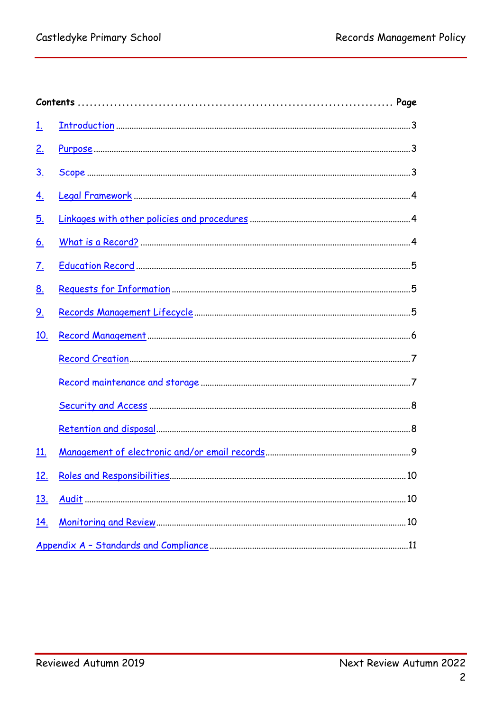<span id="page-1-0"></span>

| <u>1.</u>  |  |    |  |
|------------|--|----|--|
| <u>2.</u>  |  |    |  |
| <u>3.</u>  |  |    |  |
| <u>4.</u>  |  |    |  |
| <u>5.</u>  |  |    |  |
| <u>6.</u>  |  |    |  |
| <u>7.</u>  |  |    |  |
| <u>8.</u>  |  |    |  |
| <u>9.</u>  |  |    |  |
| 10.        |  |    |  |
|            |  |    |  |
|            |  |    |  |
|            |  |    |  |
|            |  |    |  |
| <u>11.</u> |  |    |  |
| 12         |  | 10 |  |
| <u>13.</u> |  |    |  |
| <u>14.</u> |  |    |  |
|            |  |    |  |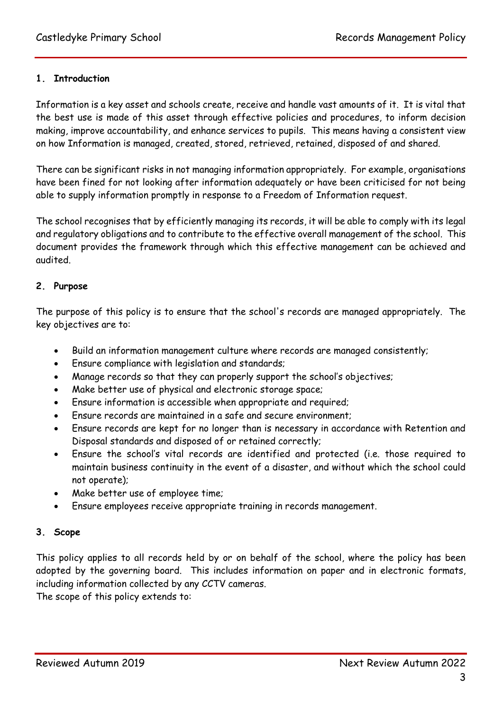## **1. Introduction**

Information is a key asset and schools create, receive and handle vast amounts of it. It is vital that the best use is made of this asset through effective policies and procedures, to inform decision making, improve accountability, and enhance services to pupils. This means having a consistent view on how Information is managed, created, stored, retrieved, retained, disposed of and shared.

There can be significant risks in not managing information appropriately. For example, organisations have been fined for not looking after information adequately or have been criticised for not being able to supply information promptly in response to a Freedom of Information request.

The school recognises that by efficiently managing its records, it will be able to comply with its legal and regulatory obligations and to contribute to the effective overall management of the school. This document provides the framework through which this effective management can be achieved and audited.

#### <span id="page-2-0"></span>**2. Purpose**

The purpose of this policy is to ensure that the school's records are managed appropriately. The key objectives are to:

- Build an information management culture where records are managed consistently;
- Ensure compliance with legislation and standards;
- Manage records so that they can properly support the school's objectives;
- Make better use of physical and electronic storage space;
- Ensure information is accessible when appropriate and required;
- Ensure records are maintained in a safe and secure environment;
- Ensure records are kept for no longer than is necessary in accordance with Retention and Disposal standards and disposed of or retained correctly;
- Ensure the school's vital records are identified and protected (i.e. those required to maintain business continuity in the event of a disaster, and without which the school could not operate);
- Make better use of employee time;
- Ensure employees receive appropriate training in records management.

#### <span id="page-2-1"></span>**3. Scope**

This policy applies to all records held by or on behalf of the school, where the policy has been adopted by the governing board. This includes information on paper and in electronic formats, including information collected by any CCTV cameras.

The scope of this policy extends to: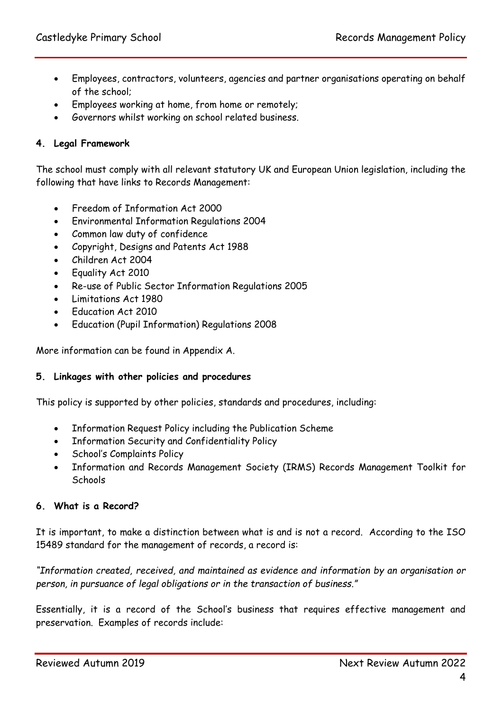- Employees, contractors, volunteers, agencies and partner organisations operating on behalf of the school;
- Employees working at home, from home or remotely;
- Governors whilst working on school related business.

## <span id="page-3-0"></span>**4. Legal Framework**

The school must comply with all relevant statutory UK and European Union legislation, including the following that have links to Records Management:

- Freedom of Information Act 2000
- Environmental Information Regulations 2004
- Common law duty of confidence
- Copyright, Designs and Patents Act 1988
- Children Act 2004
- Equality Act 2010
- Re-use of Public Sector Information Regulations 2005
- Limitations Act 1980
- Education Act 2010
- Education (Pupil Information) Regulations 2008

More information can be found in Appendix A.

#### <span id="page-3-1"></span>**5. Linkages with other policies and procedures**

This policy is supported by other policies, standards and procedures, including:

- Information Request Policy including the Publication Scheme
- Information Security and Confidentiality Policy
- School's Complaints Policy
- Information and Records Management Society (IRMS) Records Management Toolkit for Schools

#### <span id="page-3-2"></span>**6. What is a Record?**

It is important, to make a distinction between what is and is not a record. According to the ISO 15489 standard for the management of records, a record is:

*"Information created, received, and maintained as evidence and information by an organisation or person, in pursuance of legal obligations or in the transaction of business."*

Essentially, it is a record of the School's business that requires effective management and preservation. Examples of records include: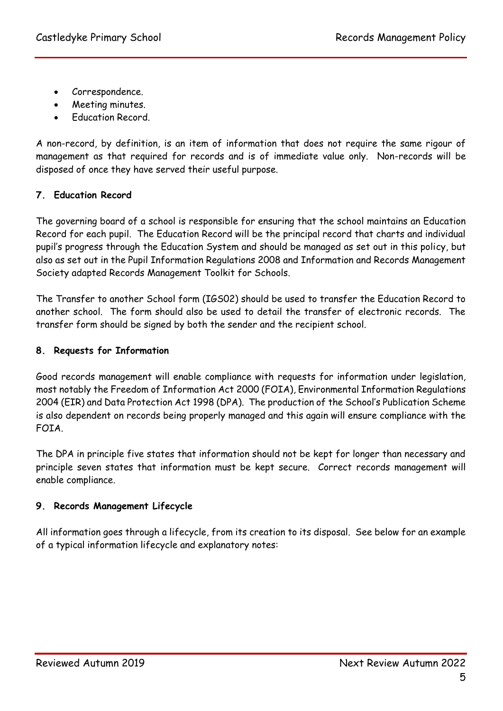- Correspondence.
- Meeting minutes.
- Education Record.

A non-record, by definition, is an item of information that does not require the same rigour of management as that required for records and is of immediate value only. Non-records will be disposed of once they have served their useful purpose.

# <span id="page-4-0"></span>**7. Education Record**

The governing board of a school is responsible for ensuring that the school maintains an Education Record for each pupil. The Education Record will be the principal record that charts and individual pupil's progress through the Education System and should be managed as set out in this policy, but also as set out in the Pupil Information Regulations 2008 and Information and Records Management Society adapted Records Management Toolkit for Schools.

The Transfer to another School form (IGS02) should be used to transfer the Education Record to another school. The form should also be used to detail the transfer of electronic records. The transfer form should be signed by both the sender and the recipient school.

## <span id="page-4-1"></span>**8. Requests for Information**

Good records management will enable compliance with requests for information under legislation, most notably the Freedom of Information Act 2000 (FOIA), Environmental Information Regulations 2004 (EIR) and Data Protection Act 1998 (DPA). The production of the School's Publication Scheme is also dependent on records being properly managed and this again will ensure compliance with the FOIA.

The DPA in principle five states that information should not be kept for longer than necessary and principle seven states that information must be kept secure. Correct records management will enable compliance.

# <span id="page-4-2"></span>**9. Records Management Lifecycle**

All information goes through a lifecycle, from its creation to its disposal. See below for an example of a typical information lifecycle and explanatory notes: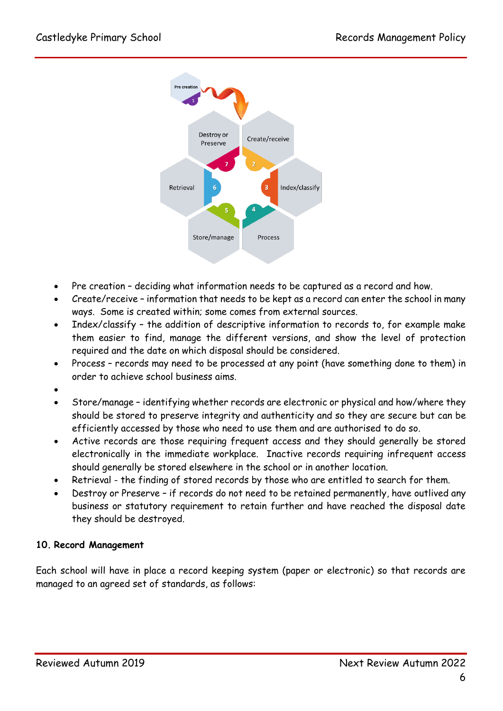

- Pre creation deciding what information needs to be captured as a record and how.
- Create/receive information that needs to be kept as a record can enter the school in many ways. Some is created within; some comes from external sources.
- Index/classify the addition of descriptive information to records to, for example make them easier to find, manage the different versions, and show the level of protection required and the date on which disposal should be considered.
- Process records may need to be processed at any point (have something done to them) in order to achieve school business aims.
- $\bullet$
- Store/manage identifying whether records are electronic or physical and how/where they should be stored to preserve integrity and authenticity and so they are secure but can be efficiently accessed by those who need to use them and are authorised to do so.
- Active records are those requiring frequent access and they should generally be stored electronically in the immediate workplace. Inactive records requiring infrequent access should generally be stored elsewhere in the school or in another location.
- Retrieval the finding of stored records by those who are entitled to search for them.
- Destroy or Preserve if records do not need to be retained permanently, have outlived any business or statutory requirement to retain further and have reached the disposal date they should be destroyed.

## <span id="page-5-0"></span>**10. Record Management**

Each school will have in place a record keeping system (paper or electronic) so that records are managed to an agreed set of standards, as follows: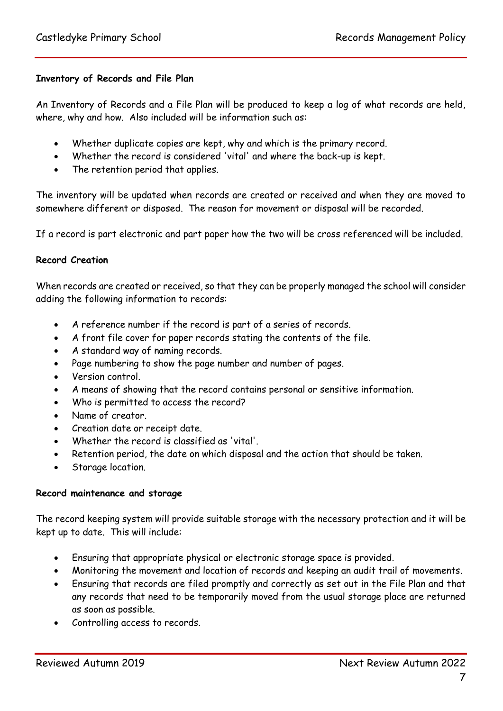#### **Inventory of Records and File Plan**

An Inventory of Records and a File Plan will be produced to keep a log of what records are held, where, why and how. Also included will be information such as:

- Whether duplicate copies are kept, why and which is the primary record.
- Whether the record is considered 'vital' and where the back-up is kept.
- The retention period that applies.

The inventory will be updated when records are created or received and when they are moved to somewhere different or disposed. The reason for movement or disposal will be recorded.

If a record is part electronic and part paper how the two will be cross referenced will be included.

## <span id="page-6-0"></span>**Record Creation**

When records are created or received, so that they can be properly managed the school will consider adding the following information to records:

- A reference number if the record is part of a series of records.
- A front file cover for paper records stating the contents of the file.
- A standard way of naming records.
- Page numbering to show the page number and number of pages.
- Version control.
- A means of showing that the record contains personal or sensitive information.
- Who is permitted to access the record?
- Name of creator.
- Creation date or receipt date.
- Whether the record is classified as 'vital'.
- Retention period, the date on which disposal and the action that should be taken.
- Storage location.

#### <span id="page-6-1"></span>**Record maintenance and storage**

The record keeping system will provide suitable storage with the necessary protection and it will be kept up to date. This will include:

- Ensuring that appropriate physical or electronic storage space is provided.
- Monitoring the movement and location of records and keeping an audit trail of movements.
- Ensuring that records are filed promptly and correctly as set out in the File Plan and that any records that need to be temporarily moved from the usual storage place are returned as soon as possible.
- Controlling access to records.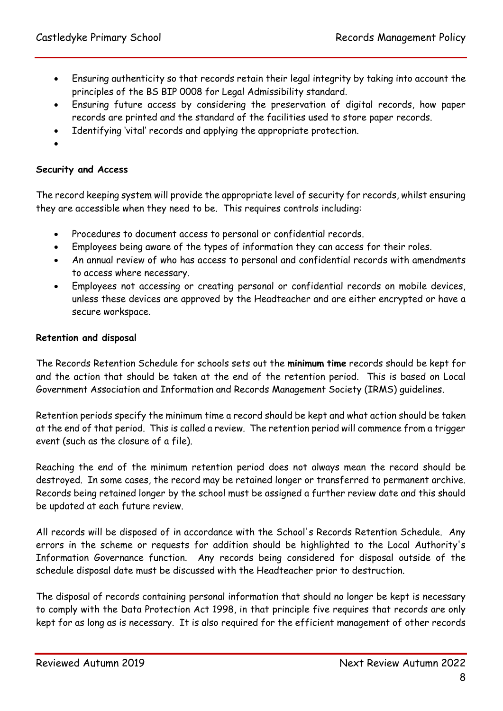- Ensuring authenticity so that records retain their legal integrity by taking into account the principles of the BS BIP 0008 for Legal Admissibility standard.
- Ensuring future access by considering the preservation of digital records, how paper records are printed and the standard of the facilities used to store paper records.
- Identifying 'vital' records and applying the appropriate protection.
- $\bullet$

## <span id="page-7-0"></span>**Security and Access**

The record keeping system will provide the appropriate level of security for records, whilst ensuring they are accessible when they need to be. This requires controls including:

- Procedures to document access to personal or confidential records.
- Employees being aware of the types of information they can access for their roles.
- An annual review of who has access to personal and confidential records with amendments to access where necessary.
- Employees not accessing or creating personal or confidential records on mobile devices, unless these devices are approved by the Headteacher and are either encrypted or have a secure workspace.

#### <span id="page-7-1"></span>**Retention and disposal**

The Records Retention Schedule for schools sets out the **minimum time** records should be kept for and the action that should be taken at the end of the retention period. This is based on Local Government Association and Information and Records Management Society (IRMS) guidelines.

Retention periods specify the minimum time a record should be kept and what action should be taken at the end of that period. This is called a review. The retention period will commence from a trigger event (such as the closure of a file).

Reaching the end of the minimum retention period does not always mean the record should be destroyed. In some cases, the record may be retained longer or transferred to permanent archive. Records being retained longer by the school must be assigned a further review date and this should be updated at each future review.

All records will be disposed of in accordance with the School's Records Retention Schedule. Any errors in the scheme or requests for addition should be highlighted to the Local Authority's Information Governance function. Any records being considered for disposal outside of the schedule disposal date must be discussed with the Headteacher prior to destruction.

The disposal of records containing personal information that should no longer be kept is necessary to comply with the Data Protection Act 1998, in that principle five requires that records are only kept for as long as is necessary. It is also required for the efficient management of other records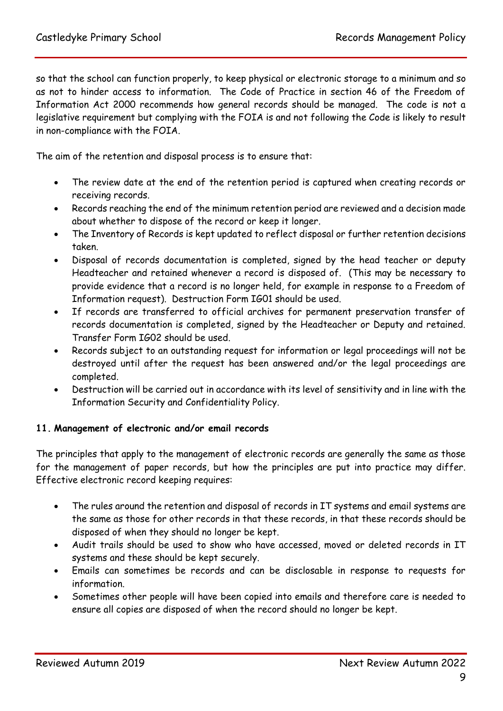so that the school can function properly, to keep physical or electronic storage to a minimum and so as not to hinder access to information. The Code of Practice in section 46 of the Freedom of Information Act 2000 recommends how general records should be managed. The code is not a legislative requirement but complying with the FOIA is and not following the Code is likely to result in non-compliance with the FOIA.

The aim of the retention and disposal process is to ensure that:

- The review date at the end of the retention period is captured when creating records or receiving records.
- Records reaching the end of the minimum retention period are reviewed and a decision made about whether to dispose of the record or keep it longer.
- The Inventory of Records is kept updated to reflect disposal or further retention decisions taken.
- Disposal of records documentation is completed, signed by the head teacher or deputy Headteacher and retained whenever a record is disposed of. (This may be necessary to provide evidence that a record is no longer held, for example in response to a Freedom of Information request). Destruction Form IG01 should be used.
- If records are transferred to official archives for permanent preservation transfer of records documentation is completed, signed by the Headteacher or Deputy and retained. Transfer Form IG02 should be used.
- Records subject to an outstanding request for information or legal proceedings will not be destroyed until after the request has been answered and/or the legal proceedings are completed.
- Destruction will be carried out in accordance with its level of sensitivity and in line with the Information Security and Confidentiality Policy.

## <span id="page-8-0"></span>**11. Management of electronic and/or email records**

The principles that apply to the management of electronic records are generally the same as those for the management of paper records, but how the principles are put into practice may differ. Effective electronic record keeping requires:

- The rules around the retention and disposal of records in IT systems and email systems are the same as those for other records in that these records, in that these records should be disposed of when they should no longer be kept.
- Audit trails should be used to show who have accessed, moved or deleted records in IT systems and these should be kept securely.
- Emails can sometimes be records and can be disclosable in response to requests for information.
- Sometimes other people will have been copied into emails and therefore care is needed to ensure all copies are disposed of when the record should no longer be kept.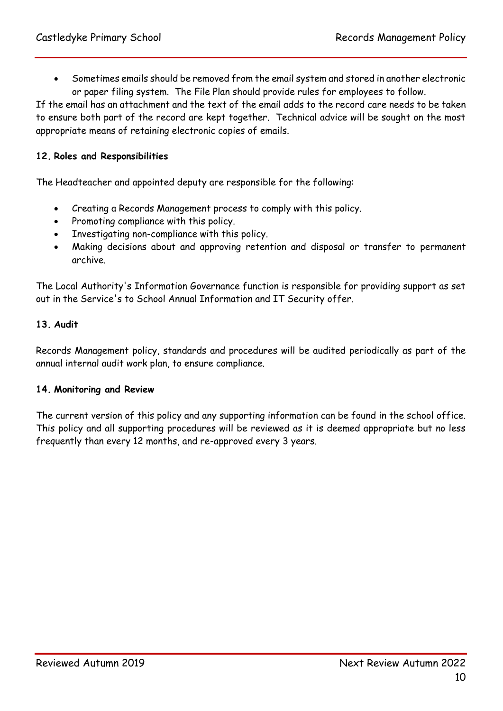Sometimes emails should be removed from the email system and stored in another electronic or paper filing system. The File Plan should provide rules for employees to follow.

If the email has an attachment and the text of the email adds to the record care needs to be taken to ensure both part of the record are kept together. Technical advice will be sought on the most appropriate means of retaining electronic copies of emails.

## <span id="page-9-0"></span>**12. Roles and Responsibilities**

The Headteacher and appointed deputy are responsible for the following:

- Creating a Records Management process to comply with this policy.
- Promoting compliance with this policy.
- Investigating non-compliance with this policy.
- Making decisions about and approving retention and disposal or transfer to permanent archive.

The Local Authority's Information Governance function is responsible for providing support as set out in the Service's to School Annual Information and IT Security offer.

#### <span id="page-9-1"></span>**13. Audit**

Records Management policy, standards and procedures will be audited periodically as part of the annual internal audit work plan, to ensure compliance.

#### <span id="page-9-2"></span>**14. Monitoring and Review**

<span id="page-9-3"></span>The current version of this policy and any supporting information can be found in the school office. This policy and all supporting procedures will be reviewed as it is deemed appropriate but no less frequently than every 12 months, and re-approved every 3 years.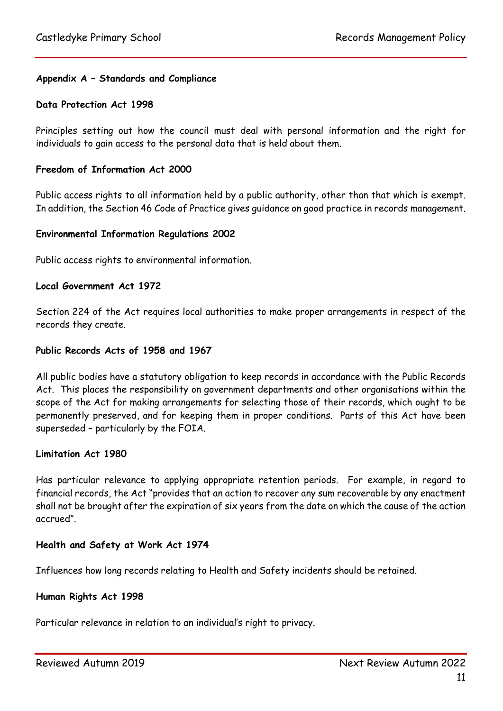## **Appendix A – Standards and Compliance**

#### **Data Protection Act 1998**

Principles setting out how the council must deal with personal information and the right for individuals to gain access to the personal data that is held about them.

#### **Freedom of Information Act 2000**

Public access rights to all information held by a public authority, other than that which is exempt. In addition, the Section 46 Code of Practice gives guidance on good practice in records management.

#### **Environmental Information Regulations 2002**

Public access rights to environmental information.

#### **Local Government Act 1972**

Section 224 of the Act requires local authorities to make proper arrangements in respect of the records they create.

#### **Public Records Acts of 1958 and 1967**

All public bodies have a statutory obligation to keep records in accordance with the Public Records Act. This places the responsibility on government departments and other organisations within the scope of the Act for making arrangements for selecting those of their records, which ought to be permanently preserved, and for keeping them in proper conditions. Parts of this Act have been superseded – particularly by the FOIA.

#### **Limitation Act 1980**

Has particular relevance to applying appropriate retention periods. For example, in regard to financial records, the Act "provides that an action to recover any sum recoverable by any enactment shall not be brought after the expiration of six years from the date on which the cause of the action accrued".

#### **Health and Safety at Work Act 1974**

Influences how long records relating to Health and Safety incidents should be retained.

#### **Human Rights Act 1998**

Particular relevance in relation to an individual's right to privacy.